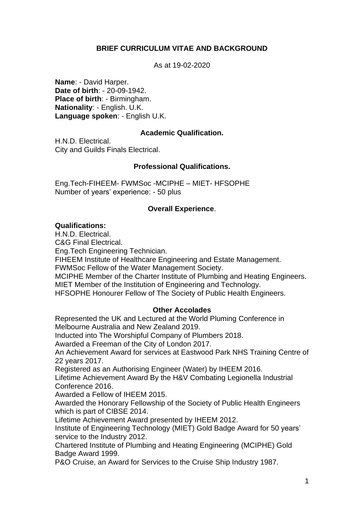# **BRIEF CURRICULUM VITAE AND BACKGROUND**

As at 19-02-2020

**Name**: - David Harper. **Date of birth**: - 20-09-1942. **Place of birth**: - Birmingham. **Nationality**: - English. U.K. **Language spoken**: - English U.K.

## **Academic Qualification.**

H.N.D. Electrical. City and Guilds Finals Electrical.

## **Professional Qualifications.**

Eng.Tech-FIHEEM- FWMSoc -MCIPHE – MIET- HFSOPHE Number of years' experience: - 50 plus

## **Overall Experience**.

### **Qualifications:**

H.N.D. Electrical.

C&G Final Electrical.

Eng.Tech Engineering Technician.

FIHEEM Institute of Healthcare Engineering and Estate Management.

FWMSoc Fellow of the Water Management Society.

MCIPHE Member of the Charter Institute of Plumbing and Heating Engineers.

MIET Member of the Institution of Engineering and Technology.

HFSOPHE Honourer Fellow of The Society of Public Health Engineers.

#### **Other Accolades**

Represented the UK and Lectured at the World Pluming Conference in Melbourne Australia and New Zealand 2019.

Inducted into The Worshipful Company of Plumbers 2018.

Awarded a Freeman of the City of London 2017.

An Achievement Award for services at Eastwood Park NHS Training Centre of 22 years 2017.

Registered as an Authorising Engineer (Water) by IHEEM 2016.

Lifetime Achievement Award By the H&V Combating Legionella Industrial Conference 2016.

Awarded a Fellow of IHEEM 2015.

Awarded the Honorary Fellowship of the Society of Public Health Engineers which is part of CIBSE 2014.

Lifetime Achievement Award presented by IHEEM 2012.

Institute of Engineering Technology (MIET) Gold Badge Award for 50 years' service to the Industry 2012.

Chartered Institute of Plumbing and Heating Engineering (MCIPHE) Gold Badge Award 1999.

P&O Cruise, an Award for Services to the Cruise Ship Industry 1987.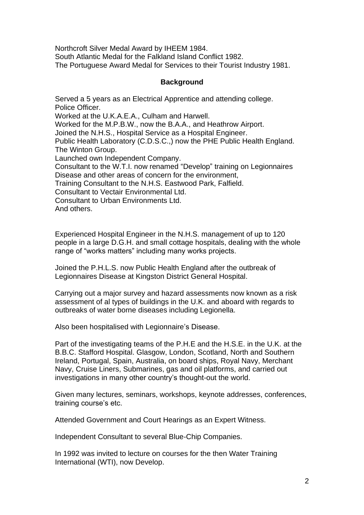Northcroft Silver Medal Award by IHEEM 1984. South Atlantic Medal for the Falkland Island Conflict 1982. The Portuguese Award Medal for Services to their Tourist Industry 1981.

### **Background**

Served a 5 years as an Electrical Apprentice and attending college. Police Officer.

Worked at the U.K.A.E.A., Culham and Harwell.

Worked for the M.P.B.W., now the B.A.A., and Heathrow Airport.

Joined the N.H.S., Hospital Service as a Hospital Engineer.

Public Health Laboratory (C.D.S.C.,) now the PHE Public Health England. The Winton Group.

Launched own Independent Company.

Consultant to the W.T.I. now renamed "Develop" training on Legionnaires Disease and other areas of concern for the environment,

Training Consultant to the N.H.S. Eastwood Park, Falfield.

Consultant to Vectair Environmental Ltd.

Consultant to Urban Environments Ltd.

And others.

Experienced Hospital Engineer in the N.H.S. management of up to 120 people in a large D.G.H. and small cottage hospitals, dealing with the whole range of "works matters" including many works projects.

Joined the P.H.L.S. now Public Health England after the outbreak of Legionnaires Disease at Kingston District General Hospital.

Carrying out a major survey and hazard assessments now known as a risk assessment of al types of buildings in the U.K. and aboard with regards to outbreaks of water borne diseases including Legionella.

Also been hospitalised with Legionnaire's Disease.

Part of the investigating teams of the P.H.E and the H.S.E. in the U.K. at the B.B.C. Stafford Hospital. Glasgow, London, Scotland, North and Southern Ireland, Portugal, Spain, Australia, on board ships, Royal Navy, Merchant Navy, Cruise Liners, Submarines, gas and oil platforms, and carried out investigations in many other country's thought-out the world.

Given many lectures, seminars, workshops, keynote addresses, conferences, training course's etc.

Attended Government and Court Hearings as an Expert Witness.

Independent Consultant to several Blue-Chip Companies.

In 1992 was invited to lecture on courses for the then Water Training International (WTI), now Develop.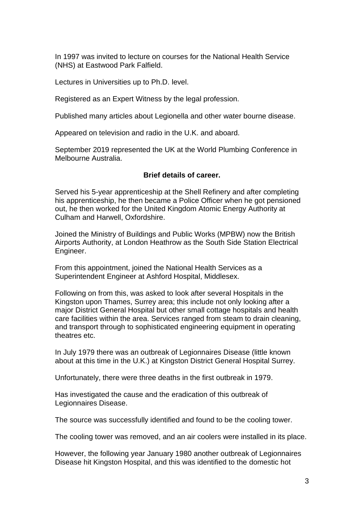In 1997 was invited to lecture on courses for the National Health Service (NHS) at Eastwood Park Falfield.

Lectures in Universities up to Ph.D. level.

Registered as an Expert Witness by the legal profession.

Published many articles about Legionella and other water bourne disease.

Appeared on television and radio in the U.K. and aboard.

September 2019 represented the UK at the World Plumbing Conference in Melbourne Australia.

### **Brief details of career.**

Served his 5-year apprenticeship at the Shell Refinery and after completing his apprenticeship, he then became a Police Officer when he got pensioned out, he then worked for the United Kingdom Atomic Energy Authority at Culham and Harwell, Oxfordshire.

Joined the Ministry of Buildings and Public Works (MPBW) now the British Airports Authority, at London Heathrow as the South Side Station Electrical Engineer.

From this appointment, joined the National Health Services as a Superintendent Engineer at Ashford Hospital, Middlesex.

Following on from this, was asked to look after several Hospitals in the Kingston upon Thames, Surrey area; this include not only looking after a major District General Hospital but other small cottage hospitals and health care facilities within the area. Services ranged from steam to drain cleaning, and transport through to sophisticated engineering equipment in operating theatres etc.

In July 1979 there was an outbreak of Legionnaires Disease (little known about at this time in the U.K.) at Kingston District General Hospital Surrey.

Unfortunately, there were three deaths in the first outbreak in 1979.

Has investigated the cause and the eradication of this outbreak of Legionnaires Disease.

The source was successfully identified and found to be the cooling tower.

The cooling tower was removed, and an air coolers were installed in its place.

However, the following year January 1980 another outbreak of Legionnaires Disease hit Kingston Hospital, and this was identified to the domestic hot